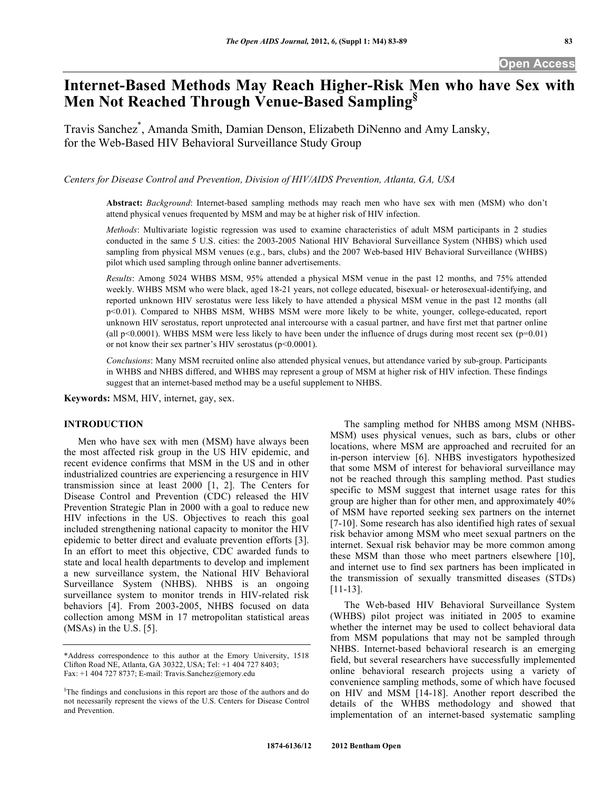# **Open Access**

# **Internet-Based Methods May Reach Higher-Risk Men who have Sex with Men Not Reached Through Venue-Based Sampling§**

Travis Sanchez\* , Amanda Smith, Damian Denson, Elizabeth DiNenno and Amy Lansky, for the Web-Based HIV Behavioral Surveillance Study Group

*Centers for Disease Control and Prevention, Division of HIV/AIDS Prevention, Atlanta, GA, USA* 

**Abstract:** *Background*: Internet-based sampling methods may reach men who have sex with men (MSM) who don't attend physical venues frequented by MSM and may be at higher risk of HIV infection.

*Methods*: Multivariate logistic regression was used to examine characteristics of adult MSM participants in 2 studies conducted in the same 5 U.S. cities: the 2003-2005 National HIV Behavioral Surveillance System (NHBS) which used sampling from physical MSM venues (e.g., bars, clubs) and the 2007 Web-based HIV Behavioral Surveillance (WHBS) pilot which used sampling through online banner advertisements.

*Results*: Among 5024 WHBS MSM, 95% attended a physical MSM venue in the past 12 months, and 75% attended weekly. WHBS MSM who were black, aged 18-21 years, not college educated, bisexual- or heterosexual-identifying, and reported unknown HIV serostatus were less likely to have attended a physical MSM venue in the past 12 months (all p<0.01). Compared to NHBS MSM, WHBS MSM were more likely to be white, younger, college-educated, report unknown HIV serostatus, report unprotected anal intercourse with a casual partner, and have first met that partner online (all p<0.0001). WHBS MSM were less likely to have been under the influence of drugs during most recent sex  $(p=0.01)$ or not know their sex partner's HIV serostatus (p<0.0001).

*Conclusions*: Many MSM recruited online also attended physical venues, but attendance varied by sub-group. Participants in WHBS and NHBS differed, and WHBS may represent a group of MSM at higher risk of HIV infection. These findings suggest that an internet-based method may be a useful supplement to NHBS.

**Keywords:** MSM, HIV, internet, gay, sex.

# **INTRODUCTION**

 Men who have sex with men (MSM) have always been the most affected risk group in the US HIV epidemic, and recent evidence confirms that MSM in the US and in other industrialized countries are experiencing a resurgence in HIV transmission since at least 2000 [1, 2]. The Centers for Disease Control and Prevention (CDC) released the HIV Prevention Strategic Plan in 2000 with a goal to reduce new HIV infections in the US. Objectives to reach this goal included strengthening national capacity to monitor the HIV epidemic to better direct and evaluate prevention efforts [3]. In an effort to meet this objective, CDC awarded funds to state and local health departments to develop and implement a new surveillance system, the National HIV Behavioral Surveillance System (NHBS). NHBS is an ongoing surveillance system to monitor trends in HIV-related risk behaviors [4]. From 2003-2005, NHBS focused on data collection among MSM in 17 metropolitan statistical areas (MSAs) in the U.S. [5].

 The sampling method for NHBS among MSM (NHBS-MSM) uses physical venues, such as bars, clubs or other locations, where MSM are approached and recruited for an in-person interview [6]. NHBS investigators hypothesized that some MSM of interest for behavioral surveillance may not be reached through this sampling method. Past studies specific to MSM suggest that internet usage rates for this group are higher than for other men, and approximately 40% of MSM have reported seeking sex partners on the internet [7-10]. Some research has also identified high rates of sexual risk behavior among MSM who meet sexual partners on the internet. Sexual risk behavior may be more common among these MSM than those who meet partners elsewhere [10], and internet use to find sex partners has been implicated in the transmission of sexually transmitted diseases (STDs) [11-13].

 The Web-based HIV Behavioral Surveillance System (WHBS) pilot project was initiated in 2005 to examine whether the internet may be used to collect behavioral data from MSM populations that may not be sampled through NHBS. Internet-based behavioral research is an emerging field, but several researchers have successfully implemented online behavioral research projects using a variety of convenience sampling methods, some of which have focused on HIV and MSM [14-18]. Another report described the details of the WHBS methodology and showed that implementation of an internet-based systematic sampling

<sup>\*</sup>Address correspondence to this author at the Emory University, 1518 Clifton Road NE, Atlanta, GA 30322, USA; Tel: +1 404 727 8403; Fax: +1 404 727 8737; E-mail: Travis.Sanchez@emory.edu

<sup>§</sup> The findings and conclusions in this report are those of the authors and do not necessarily represent the views of the U.S. Centers for Disease Control and Prevention.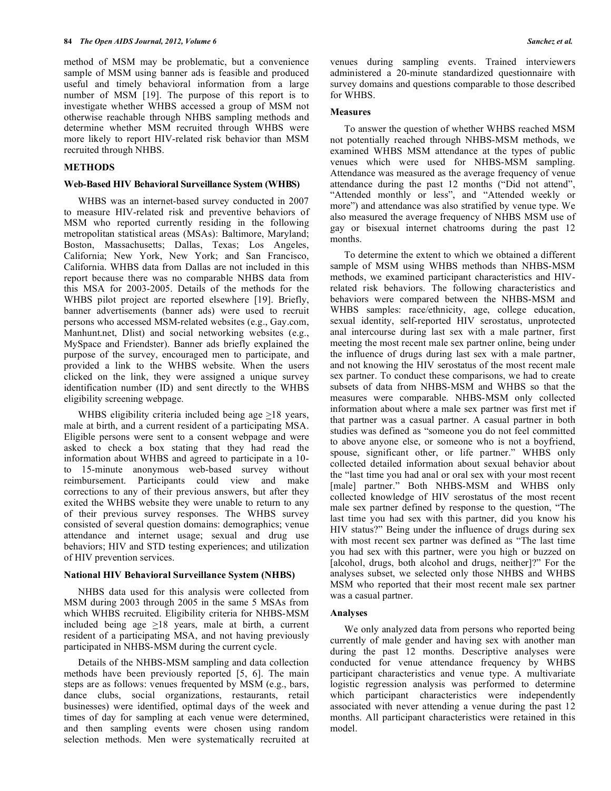method of MSM may be problematic, but a convenience sample of MSM using banner ads is feasible and produced useful and timely behavioral information from a large number of MSM [19]. The purpose of this report is to investigate whether WHBS accessed a group of MSM not otherwise reachable through NHBS sampling methods and determine whether MSM recruited through WHBS were more likely to report HIV-related risk behavior than MSM recruited through NHBS.

# **METHODS**

#### **Web-Based HIV Behavioral Surveillance System (WHBS)**

 WHBS was an internet-based survey conducted in 2007 to measure HIV-related risk and preventive behaviors of MSM who reported currently residing in the following metropolitan statistical areas (MSAs): Baltimore, Maryland; Boston, Massachusetts; Dallas, Texas; Los Angeles, California; New York, New York; and San Francisco, California. WHBS data from Dallas are not included in this report because there was no comparable NHBS data from this MSA for 2003-2005. Details of the methods for the WHBS pilot project are reported elsewhere [19]. Briefly, banner advertisements (banner ads) were used to recruit persons who accessed MSM-related websites (e.g., Gay.com, Manhunt.net, Dlist) and social networking websites (e.g., MySpace and Friendster). Banner ads briefly explained the purpose of the survey, encouraged men to participate, and provided a link to the WHBS website. When the users clicked on the link, they were assigned a unique survey identification number (ID) and sent directly to the WHBS eligibility screening webpage.

WHBS eligibility criteria included being age  $\geq$ 18 years, male at birth, and a current resident of a participating MSA. Eligible persons were sent to a consent webpage and were asked to check a box stating that they had read the information about WHBS and agreed to participate in a 10 to 15-minute anonymous web-based survey without reimbursement. Participants could view and make corrections to any of their previous answers, but after they exited the WHBS website they were unable to return to any of their previous survey responses. The WHBS survey consisted of several question domains: demographics; venue attendance and internet usage; sexual and drug use behaviors; HIV and STD testing experiences; and utilization of HIV prevention services.

# **National HIV Behavioral Surveillance System (NHBS)**

 NHBS data used for this analysis were collected from MSM during 2003 through 2005 in the same 5 MSAs from which WHBS recruited. Eligibility criteria for NHBS-MSM included being age >18 years, male at birth, a current resident of a participating MSA, and not having previously participated in NHBS-MSM during the current cycle.

 Details of the NHBS-MSM sampling and data collection methods have been previously reported [5, 6]. The main steps are as follows: venues frequented by MSM (e.g., bars, dance clubs, social organizations, restaurants, retail businesses) were identified, optimal days of the week and times of day for sampling at each venue were determined, and then sampling events were chosen using random selection methods. Men were systematically recruited at

venues during sampling events. Trained interviewers administered a 20-minute standardized questionnaire with survey domains and questions comparable to those described for WHBS.

# **Measures**

To answer the question of whether WHBS reached MSM not potentially reached through NHBS-MSM methods, we examined WHBS MSM attendance at the types of public venues which were used for NHBS-MSM sampling. Attendance was measured as the average frequency of venue attendance during the past 12 months ("Did not attend", "Attended monthly or less", and "Attended weekly or more") and attendance was also stratified by venue type. We also measured the average frequency of NHBS MSM use of gay or bisexual internet chatrooms during the past 12 months.

 To determine the extent to which we obtained a different sample of MSM using WHBS methods than NHBS-MSM methods, we examined participant characteristics and HIVrelated risk behaviors. The following characteristics and behaviors were compared between the NHBS-MSM and WHBS samples: race/ethnicity, age, college education, sexual identity, self-reported HIV serostatus, unprotected anal intercourse during last sex with a male partner, first meeting the most recent male sex partner online, being under the influence of drugs during last sex with a male partner, and not knowing the HIV serostatus of the most recent male sex partner. To conduct these comparisons, we had to create subsets of data from NHBS-MSM and WHBS so that the measures were comparable. NHBS-MSM only collected information about where a male sex partner was first met if that partner was a casual partner. A casual partner in both studies was defined as "someone you do not feel committed to above anyone else, or someone who is not a boyfriend, spouse, significant other, or life partner." WHBS only collected detailed information about sexual behavior about the "last time you had anal or oral sex with your most recent [male] partner." Both NHBS-MSM and WHBS only collected knowledge of HIV serostatus of the most recent male sex partner defined by response to the question, "The last time you had sex with this partner, did you know his HIV status?" Being under the influence of drugs during sex with most recent sex partner was defined as "The last time you had sex with this partner, were you high or buzzed on [alcohol, drugs, both alcohol and drugs, neither]?" For the analyses subset, we selected only those NHBS and WHBS MSM who reported that their most recent male sex partner was a casual partner.

# **Analyses**

 We only analyzed data from persons who reported being currently of male gender and having sex with another man during the past 12 months. Descriptive analyses were conducted for venue attendance frequency by WHBS participant characteristics and venue type. A multivariate logistic regression analysis was performed to determine which participant characteristics were independently associated with never attending a venue during the past 12 months. All participant characteristics were retained in this model.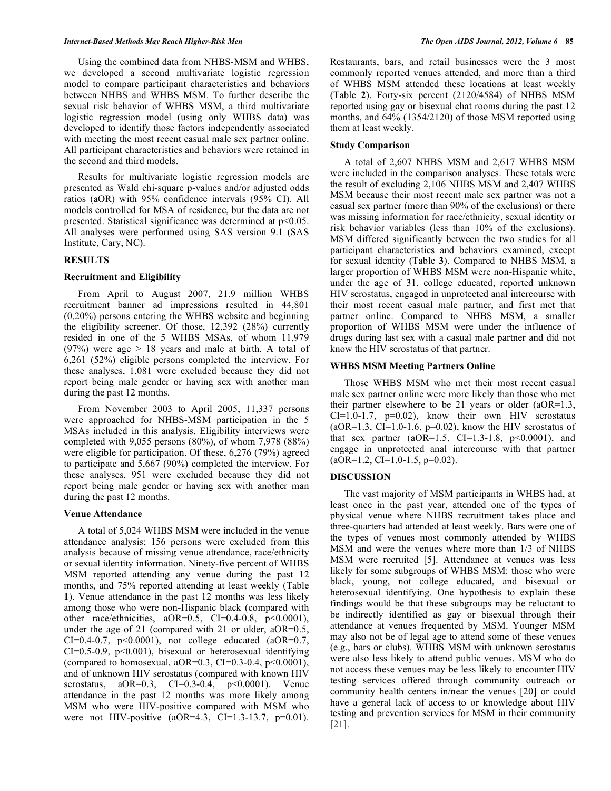Using the combined data from NHBS-MSM and WHBS, we developed a second multivariate logistic regression model to compare participant characteristics and behaviors between NHBS and WHBS MSM. To further describe the sexual risk behavior of WHBS MSM, a third multivariate logistic regression model (using only WHBS data) was developed to identify those factors independently associated with meeting the most recent casual male sex partner online. All participant characteristics and behaviors were retained in the second and third models.

 Results for multivariate logistic regression models are presented as Wald chi-square p-values and/or adjusted odds ratios (aOR) with 95% confidence intervals (95% CI). All models controlled for MSA of residence, but the data are not presented. Statistical significance was determined at p<0.05. All analyses were performed using SAS version 9.1 (SAS Institute, Cary, NC).

# **RESULTS**

# **Recruitment and Eligibility**

 From April to August 2007, 21.9 million WHBS recruitment banner ad impressions resulted in 44,801 (0.20%) persons entering the WHBS website and beginning the eligibility screener. Of those, 12,392 (28%) currently resided in one of the 5 WHBS MSAs, of whom 11,979 (97%) were age  $\geq$  18 years and male at birth. A total of 6,261 (52%) eligible persons completed the interview. For these analyses, 1,081 were excluded because they did not report being male gender or having sex with another man during the past 12 months.

 From November 2003 to April 2005, 11,337 persons were approached for NHBS-MSM participation in the 5 MSAs included in this analysis. Eligibility interviews were completed with 9,055 persons (80%), of whom 7,978 (88%) were eligible for participation. Of these, 6,276 (79%) agreed to participate and 5,667 (90%) completed the interview. For these analyses, 951 were excluded because they did not report being male gender or having sex with another man during the past 12 months.

#### **Venue Attendance**

 A total of 5,024 WHBS MSM were included in the venue attendance analysis; 156 persons were excluded from this analysis because of missing venue attendance, race/ethnicity or sexual identity information. Ninety-five percent of WHBS MSM reported attending any venue during the past 12 months, and 75% reported attending at least weekly (Table **1**). Venue attendance in the past 12 months was less likely among those who were non-Hispanic black (compared with other race/ethnicities,  $aOR=0.5$ ,  $CI=0.4-0.8$ ,  $p<0.0001$ ), under the age of 21 (compared with 21 or older, aOR=0.5, CI=0.4-0.7,  $p<0.0001$ ), not college educated (aOR=0.7, CI=0.5-0.9, p<0.001), bisexual or heterosexual identifying (compared to homosexual, aOR=0.3, CI=0.3-0.4, p<0.0001), and of unknown HIV serostatus (compared with known HIV serostatus, aOR=0.3, CI=0.3-0.4, p<0.0001). Venue attendance in the past 12 months was more likely among MSM who were HIV-positive compared with MSM who were not HIV-positive (aOR=4.3, CI=1.3-13.7, p=0.01).

Restaurants, bars, and retail businesses were the 3 most commonly reported venues attended, and more than a third of WHBS MSM attended these locations at least weekly (Table **2**). Forty-six percent (2120/4584) of NHBS MSM reported using gay or bisexual chat rooms during the past 12 months, and 64% (1354/2120) of those MSM reported using them at least weekly.

# **Study Comparison**

 A total of 2,607 NHBS MSM and 2,617 WHBS MSM were included in the comparison analyses. These totals were the result of excluding 2,106 NHBS MSM and 2,407 WHBS MSM because their most recent male sex partner was not a casual sex partner (more than 90% of the exclusions) or there was missing information for race/ethnicity, sexual identity or risk behavior variables (less than 10% of the exclusions). MSM differed significantly between the two studies for all participant characteristics and behaviors examined, except for sexual identity (Table **3**). Compared to NHBS MSM, a larger proportion of WHBS MSM were non-Hispanic white, under the age of 31, college educated, reported unknown HIV serostatus, engaged in unprotected anal intercourse with their most recent casual male partner, and first met that partner online. Compared to NHBS MSM, a smaller proportion of WHBS MSM were under the influence of drugs during last sex with a casual male partner and did not know the HIV serostatus of that partner.

# **WHBS MSM Meeting Partners Online**

 Those WHBS MSM who met their most recent casual male sex partner online were more likely than those who met their partner elsewhere to be 21 years or older (aOR=1.3,  $CI=1.0-1.7$ ,  $p=0.02$ ), know their own HIV serostatus  $(aOR=1.3, CI=1.0-1.6, p=0.02)$ , know the HIV serostatus of that sex partner (aOR=1.5, CI=1.3-1.8,  $p<0.0001$ ), and engage in unprotected anal intercourse with that partner  $(aOR=1.2, CI=1.0-1.5, p=0.02)$ .

# **DISCUSSION**

 The vast majority of MSM participants in WHBS had, at least once in the past year, attended one of the types of physical venue where NHBS recruitment takes place and three-quarters had attended at least weekly. Bars were one of the types of venues most commonly attended by WHBS MSM and were the venues where more than 1/3 of NHBS MSM were recruited [5]. Attendance at venues was less likely for some subgroups of WHBS MSM: those who were black, young, not college educated, and bisexual or heterosexual identifying. One hypothesis to explain these findings would be that these subgroups may be reluctant to be indirectly identified as gay or bisexual through their attendance at venues frequented by MSM. Younger MSM may also not be of legal age to attend some of these venues (e.g., bars or clubs). WHBS MSM with unknown serostatus were also less likely to attend public venues. MSM who do not access these venues may be less likely to encounter HIV testing services offered through community outreach or community health centers in/near the venues [20] or could have a general lack of access to or knowledge about HIV testing and prevention services for MSM in their community [21].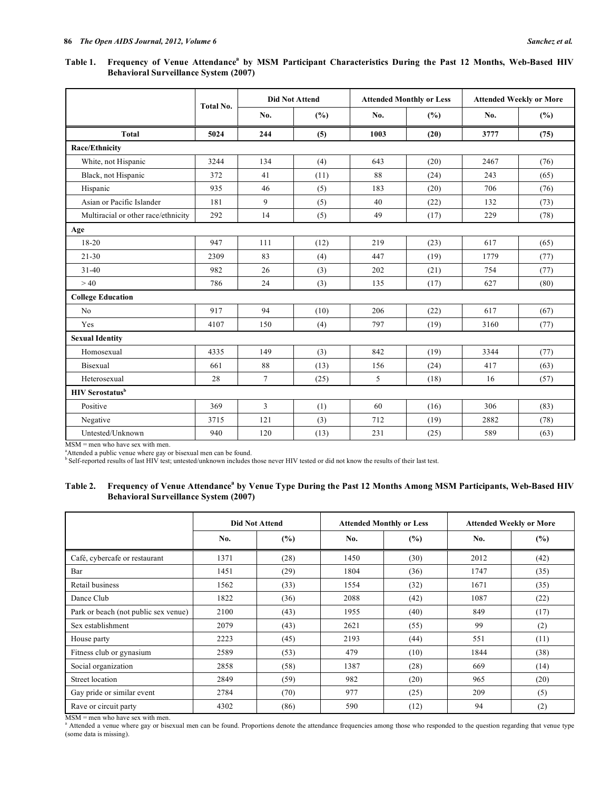# Table 1. Frequency of Venue Attendance<sup>a</sup> by MSM Participant Characteristics During the Past 12 Months, Web-Based HIV **Behavioral Surveillance System (2007)**

|                                     |           | <b>Did Not Attend</b> |      |      | <b>Attended Monthly or Less</b> | <b>Attended Weekly or More</b> |      |  |
|-------------------------------------|-----------|-----------------------|------|------|---------------------------------|--------------------------------|------|--|
|                                     | Total No. | No.                   | (%)  | No.  | (%)                             | No.                            | (%)  |  |
| <b>Total</b>                        | 5024      | 244                   | (5)  | 1003 | (20)                            | 3777                           | (75) |  |
| <b>Race/Ethnicity</b>               |           |                       |      |      |                                 |                                |      |  |
| White, not Hispanic                 | 3244      | 134                   | (4)  | 643  | (20)                            | 2467                           | (76) |  |
| Black, not Hispanic                 | 372       | 41                    | (11) | 88   | (24)                            | 243                            | (65) |  |
| Hispanic                            | 935       | 46                    | (5)  | 183  | (20)                            | 706                            | (76) |  |
| Asian or Pacific Islander           | 181       | 9                     | (5)  | 40   | (22)                            | 132                            | (73) |  |
| Multiracial or other race/ethnicity | 292       | 14                    | (5)  | 49   | (17)                            | 229                            | (78) |  |
| Age                                 |           |                       |      |      |                                 |                                |      |  |
| 18-20                               | 947       | 111                   | (12) | 219  | (23)                            | 617                            | (65) |  |
| $21 - 30$                           | 2309      | 83                    | (4)  | 447  | (19)                            | 1779                           | (77) |  |
| $31 - 40$                           | 982       | 26                    | (3)  | 202  | (21)                            | 754                            | (77) |  |
| >40                                 | 786       | 24                    | (3)  | 135  | (17)                            | 627                            | (80) |  |
| <b>College Education</b>            |           |                       |      |      |                                 |                                |      |  |
| No                                  | 917       | 94                    | (10) | 206  | (22)                            | 617                            | (67) |  |
| Yes                                 | 4107      | 150                   | (4)  | 797  | (19)                            | 3160                           | (77) |  |
| <b>Sexual Identity</b>              |           |                       |      |      |                                 |                                |      |  |
| Homosexual                          | 4335      | 149                   | (3)  | 842  | (19)                            | 3344                           | (77) |  |
| Bisexual                            | 661       | 88                    | (13) | 156  | (24)                            | 417                            | (63) |  |
| Heterosexual                        | 28        | $7\overline{ }$       | (25) | 5    | (18)                            | 16                             | (57) |  |
| <b>HIV</b> Serostatus <sup>b</sup>  |           |                       |      |      |                                 |                                |      |  |
| Positive                            | 369       | 3                     | (1)  | 60   | (16)                            | 306                            | (83) |  |
| Negative                            | 3715      | 121                   | (3)  | 712  | (19)                            | 2882                           | (78) |  |
| Untested/Unknown                    | 940       | 120                   | (13) | 231  | (25)                            | 589                            | (63) |  |

MSM = men who have sex with men.

a Attended a public venue where gay or bisexual men can be found. b Self-reported results of last HIV test; untested/unknown includes those never HIV tested or did not know the results of their last test.

# Table 2. Frequency of Venue Attendance<sup>a</sup> by Venue Type During the Past 12 Months Among MSM Participants, Web-Based HIV **Behavioral Surveillance System (2007)**

|                                      | <b>Did Not Attend</b> |      |      | <b>Attended Monthly or Less</b> | <b>Attended Weekly or More</b> |      |  |
|--------------------------------------|-----------------------|------|------|---------------------------------|--------------------------------|------|--|
|                                      | No.                   | (%)  | No.  | (%)                             | No.                            | (%)  |  |
| Café, cybercafe or restaurant        | 1371                  | (28) | 1450 | (30)                            | 2012                           | (42) |  |
| Bar                                  | 1451                  | (29) | 1804 | (36)                            | 1747                           | (35) |  |
| Retail business                      | 1562                  | (33) | 1554 | (32)                            | 1671                           | (35) |  |
| Dance Club                           | 1822                  | (36) | 2088 | (42)                            | 1087                           | (22) |  |
| Park or beach (not public sex venue) | 2100                  | (43) | 1955 | (40)                            | 849                            | (17) |  |
| Sex establishment                    | 2079                  | (43) | 2621 | (55)                            | 99                             | (2)  |  |
| House party                          | 2223                  | (45) | 2193 | (44)                            | 551                            | (11) |  |
| Fitness club or gynasium             | 2589                  | (53) | 479  | (10)                            | 1844                           | (38) |  |
| Social organization                  | 2858                  | (58) | 1387 | (28)                            | 669                            | (14) |  |
| Street location                      | 2849                  | (59) | 982  | (20)                            | 965                            | (20) |  |
| Gay pride or similar event           | 2784                  | (70) | 977  | (25)                            | 209                            | (5)  |  |
| Rave or circuit party                | 4302                  | (86) | 590  | (12)                            | 94                             | (2)  |  |

MSM = men who have sex with men.<br><sup>a</sup> Attended a venue where gay or bisexual men can be found. Proportions denote the attendance frequencies among those who responded to the question regarding that venue type (some data is missing).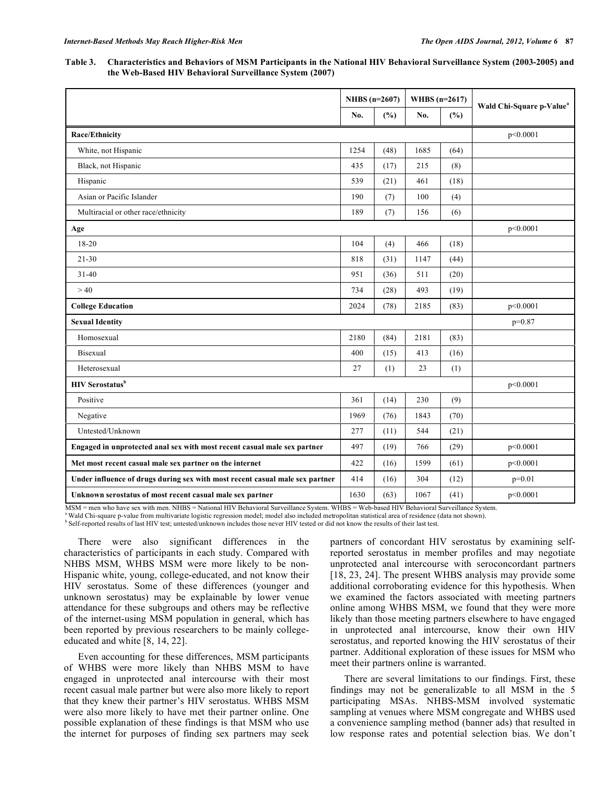**Table 3. Characteristics and Behaviors of MSM Participants in the National HIV Behavioral Surveillance System (2003-2005) and the Web-Based HIV Behavioral Surveillance System (2007)** 

|                                                                              | NHBS $(n=2607)$ |      | WHBS $(n=2617)$ |      | Wald Chi-Square p-Value <sup>a</sup> |  |
|------------------------------------------------------------------------------|-----------------|------|-----------------|------|--------------------------------------|--|
|                                                                              | No.             | (%)  | No.             | (%)  |                                      |  |
| Race/Ethnicity                                                               |                 |      |                 |      | p<0.0001                             |  |
| White, not Hispanic                                                          | 1254            | (48) | 1685            | (64) |                                      |  |
| Black, not Hispanic                                                          | 435             | (17) | 215             | (8)  |                                      |  |
| Hispanic                                                                     | 539             | (21) | 461             | (18) |                                      |  |
| Asian or Pacific Islander                                                    | 190             | (7)  | 100             | (4)  |                                      |  |
| Multiracial or other race/ethnicity                                          | 189             | (7)  | 156             | (6)  |                                      |  |
| Age                                                                          |                 |      |                 |      | p<0.0001                             |  |
| $18 - 20$                                                                    | 104             | (4)  | 466             | (18) |                                      |  |
| $21 - 30$                                                                    | 818             | (31) | 1147            | (44) |                                      |  |
| $31 - 40$                                                                    | 951             | (36) | 511             | (20) |                                      |  |
| >40                                                                          | 734             | (28) | 493             | (19) |                                      |  |
| <b>College Education</b>                                                     | 2024            | (78) | 2185            | (83) | p<0.0001                             |  |
| <b>Sexual Identity</b>                                                       |                 |      |                 |      | $p=0.87$                             |  |
| Homosexual                                                                   | 2180            | (84) | 2181            | (83) |                                      |  |
| <b>Bisexual</b>                                                              | 400             | (15) | 413             | (16) |                                      |  |
| Heterosexual                                                                 | 27              | (1)  | 23              | (1)  |                                      |  |
| <b>HIV Serostatus</b> <sup>b</sup>                                           |                 |      |                 |      | p<0.0001                             |  |
| Positive                                                                     | 361             | (14) | 230             | (9)  |                                      |  |
| Negative                                                                     | 1969            | (76) | 1843            | (70) |                                      |  |
| Untested/Unknown                                                             | 277             | (11) | 544             | (21) |                                      |  |
| Engaged in unprotected anal sex with most recent casual male sex partner     | 497             | (19) | 766             | (29) | p<0.0001                             |  |
| Met most recent casual male sex partner on the internet                      | 422             | (16) | 1599            | (61) | p<0.0001                             |  |
| Under influence of drugs during sex with most recent casual male sex partner | 414             | (16) | 304             | (12) | $p=0.01$                             |  |
| Unknown serostatus of most recent casual male sex partner                    | 1630            | (63) | 1067            | (41) | p<0.0001                             |  |

MSM = men who have sex with men. NHBS = National HIV Behavioral Surveillance System. WHBS = Web-based HIV Behavioral Surveillance System.<br><sup>a</sup> Wald Chi-square p-value from multivariate logistic regression model; model also

 There were also significant differences in the characteristics of participants in each study. Compared with NHBS MSM, WHBS MSM were more likely to be non-Hispanic white, young, college-educated, and not know their HIV serostatus. Some of these differences (younger and unknown serostatus) may be explainable by lower venue attendance for these subgroups and others may be reflective of the internet-using MSM population in general, which has been reported by previous researchers to be mainly collegeeducated and white [8, 14, 22].

 Even accounting for these differences, MSM participants of WHBS were more likely than NHBS MSM to have engaged in unprotected anal intercourse with their most recent casual male partner but were also more likely to report that they knew their partner's HIV serostatus. WHBS MSM were also more likely to have met their partner online. One possible explanation of these findings is that MSM who use the internet for purposes of finding sex partners may seek

partners of concordant HIV serostatus by examining selfreported serostatus in member profiles and may negotiate unprotected anal intercourse with seroconcordant partners [18, 23, 24]. The present WHBS analysis may provide some additional corroborating evidence for this hypothesis. When we examined the factors associated with meeting partners online among WHBS MSM, we found that they were more likely than those meeting partners elsewhere to have engaged in unprotected anal intercourse, know their own HIV serostatus, and reported knowing the HIV serostatus of their partner. Additional exploration of these issues for MSM who meet their partners online is warranted.

 There are several limitations to our findings. First, these findings may not be generalizable to all MSM in the 5 participating MSAs. NHBS-MSM involved systematic sampling at venues where MSM congregate and WHBS used a convenience sampling method (banner ads) that resulted in low response rates and potential selection bias. We don't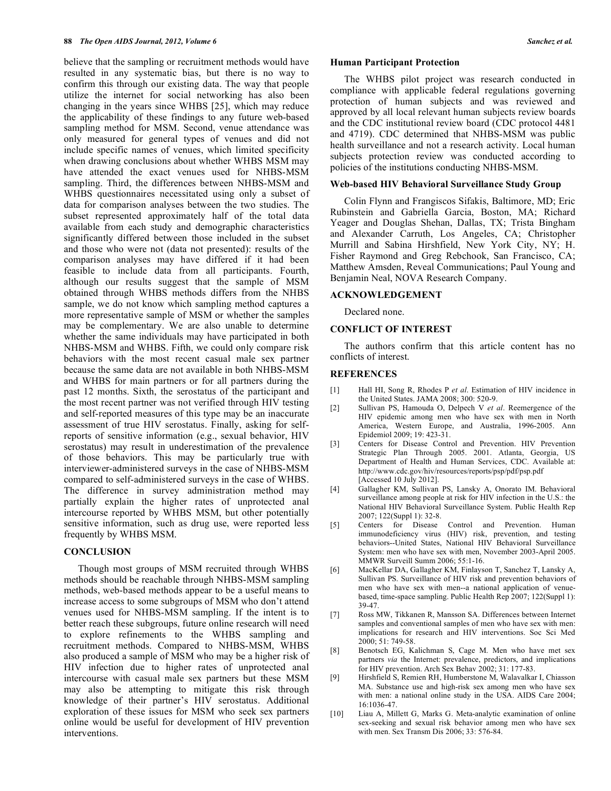believe that the sampling or recruitment methods would have resulted in any systematic bias, but there is no way to confirm this through our existing data. The way that people utilize the internet for social networking has also been changing in the years since WHBS [25], which may reduce the applicability of these findings to any future web-based sampling method for MSM. Second, venue attendance was only measured for general types of venues and did not include specific names of venues, which limited specificity when drawing conclusions about whether WHBS MSM may have attended the exact venues used for NHBS-MSM sampling. Third, the differences between NHBS-MSM and WHBS questionnaires necessitated using only a subset of data for comparison analyses between the two studies. The subset represented approximately half of the total data available from each study and demographic characteristics significantly differed between those included in the subset and those who were not (data not presented): results of the comparison analyses may have differed if it had been feasible to include data from all participants. Fourth, although our results suggest that the sample of MSM obtained through WHBS methods differs from the NHBS sample, we do not know which sampling method captures a more representative sample of MSM or whether the samples may be complementary. We are also unable to determine whether the same individuals may have participated in both NHBS-MSM and WHBS. Fifth, we could only compare risk behaviors with the most recent casual male sex partner because the same data are not available in both NHBS-MSM and WHBS for main partners or for all partners during the past 12 months. Sixth, the serostatus of the participant and the most recent partner was not verified through HIV testing and self-reported measures of this type may be an inaccurate assessment of true HIV serostatus. Finally, asking for selfreports of sensitive information (e.g., sexual behavior, HIV serostatus) may result in underestimation of the prevalence of those behaviors. This may be particularly true with interviewer-administered surveys in the case of NHBS-MSM compared to self-administered surveys in the case of WHBS. The difference in survey administration method may partially explain the higher rates of unprotected anal intercourse reported by WHBS MSM, but other potentially sensitive information, such as drug use, were reported less frequently by WHBS MSM.

# **CONCLUSION**

 Though most groups of MSM recruited through WHBS methods should be reachable through NHBS-MSM sampling methods, web-based methods appear to be a useful means to increase access to some subgroups of MSM who don't attend venues used for NHBS-MSM sampling. If the intent is to better reach these subgroups, future online research will need to explore refinements to the WHBS sampling and recruitment methods. Compared to NHBS-MSM, WHBS also produced a sample of MSM who may be a higher risk of HIV infection due to higher rates of unprotected anal intercourse with casual male sex partners but these MSM may also be attempting to mitigate this risk through knowledge of their partner's HIV serostatus. Additional exploration of these issues for MSM who seek sex partners online would be useful for development of HIV prevention interventions.

#### **Human Participant Protection**

 The WHBS pilot project was research conducted in compliance with applicable federal regulations governing protection of human subjects and was reviewed and approved by all local relevant human subjects review boards and the CDC institutional review board (CDC protocol 4481 and 4719). CDC determined that NHBS-MSM was public health surveillance and not a research activity. Local human subjects protection review was conducted according to policies of the institutions conducting NHBS-MSM.

#### **Web-based HIV Behavioral Surveillance Study Group**

 Colin Flynn and Frangiscos Sifakis, Baltimore, MD; Eric Rubinstein and Gabriella Garcia, Boston, MA; Richard Yeager and Douglas Shehan, Dallas, TX; Trista Bingham and Alexander Carruth, Los Angeles, CA; Christopher Murrill and Sabina Hirshfield, New York City, NY; H. Fisher Raymond and Greg Rebchook, San Francisco, CA; Matthew Amsden, Reveal Communications; Paul Young and Benjamin Neal, NOVA Research Company.

# **ACKNOWLEDGEMENT**

Declared none.

# **CONFLICT OF INTEREST**

 The authors confirm that this article content has no conflicts of interest.

# **REFERENCES**

- [1] Hall HI, Song R, Rhodes P *et al*. Estimation of HIV incidence in the United States. JAMA 2008; 300: 520-9.
- [2] Sullivan PS, Hamouda O, Delpech V *et al*. Reemergence of the HIV epidemic among men who have sex with men in North America, Western Europe, and Australia, 1996-2005. Ann Epidemiol 2009; 19: 423-31.
- [3] Centers for Disease Control and Prevention. HIV Prevention Strategic Plan Through 2005. 2001. Atlanta, Georgia, US Department of Health and Human Services, CDC. Available at: http://www.cdc.gov/hiv/resources/reports/psp/pdf/psp.pdf [Accessed 10 July 2012].
- [4] Gallagher KM, Sullivan PS, Lansky A, Onorato IM. Behavioral surveillance among people at risk for HIV infection in the U.S.: the National HIV Behavioral Surveillance System. Public Health Rep 2007; 122(Suppl 1): 32-8.
- [5] Centers for Disease Control and Prevention. Human immunodeficiency virus (HIV) risk, prevention, and testing behaviors--United States, National HIV Behavioral Surveillance System: men who have sex with men, November 2003-April 2005. MMWR Surveill Summ 2006; 55:1-16.
- [6] MacKellar DA, Gallagher KM, Finlayson T, Sanchez T, Lansky A, Sullivan PS. Surveillance of HIV risk and prevention behaviors of men who have sex with men--a national application of venuebased, time-space sampling. Public Health Rep 2007; 122(Suppl 1): 39-47.
- [7] Ross MW, Tikkanen R, Mansson SA. Differences between Internet samples and conventional samples of men who have sex with men: implications for research and HIV interventions. Soc Sci Med  $2000 \cdot 51 \cdot 749 - 58$
- [8] Benotsch EG, Kalichman S, Cage M. Men who have met sex partners *via* the Internet: prevalence, predictors, and implications for HIV prevention. Arch Sex Behav 2002; 31: 177-83.
- [9] Hirshfield S, Remien RH, Humberstone M, Walavalkar I, Chiasson MA. Substance use and high-risk sex among men who have sex with men: a national online study in the USA. AIDS Care 2004; 16:1036-47.
- [10] Liau A, Millett G, Marks G. Meta-analytic examination of online sex-seeking and sexual risk behavior among men who have sex with men. Sex Transm Dis 2006; 33: 576-84.